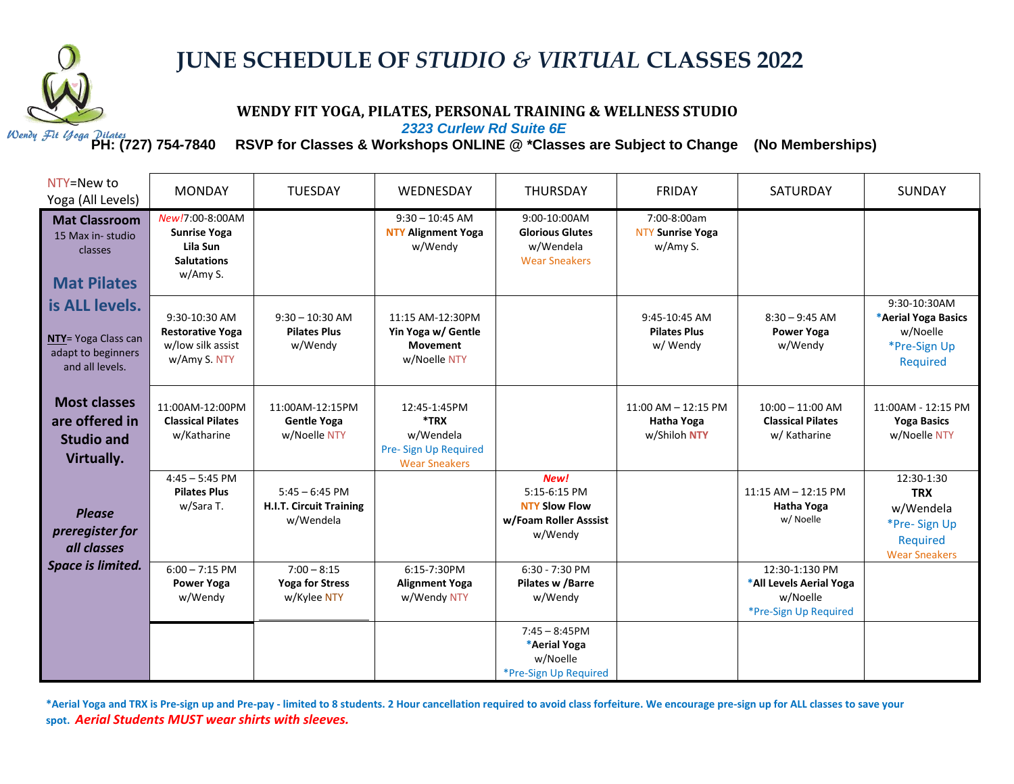

## **JUNE SCHEDULE OF** *STUDIO & VIRTUAL* **CLASSES 2022**

## **WENDY FIT YOGA, PILATES, PERSONAL TRAINING & WELLNESS STUDIO**

*2323 Curlew Rd Suite 6E*

**PH: (727) 754-7840 RSVP for Classes & Workshops ONLINE @ \*Classes are Subject to Change (No Memberships)**

| NTY=New to<br>Yoga (All Levels)                                                | <b>MONDAY</b>                                                                        | <b>TUESDAY</b>                                                  | WEDNESDAY                                                                          | <b>THURSDAY</b>                                                                  | <b>FRIDAY</b>                                         | SATURDAY                                                                       | SUNDAY                                                                                    |
|--------------------------------------------------------------------------------|--------------------------------------------------------------------------------------|-----------------------------------------------------------------|------------------------------------------------------------------------------------|----------------------------------------------------------------------------------|-------------------------------------------------------|--------------------------------------------------------------------------------|-------------------------------------------------------------------------------------------|
| <b>Mat Classroom</b><br>15 Max in-studio<br>classes<br><b>Mat Pilates</b>      | New!7:00-8:00AM<br><b>Sunrise Yoga</b><br>Lila Sun<br><b>Salutations</b><br>w/Amy S. |                                                                 | $9:30 - 10:45$ AM<br><b>NTY Alignment Yoga</b><br>w/Wendy                          | 9:00-10:00AM<br><b>Glorious Glutes</b><br>w/Wendela<br><b>Wear Sneakers</b>      | 7:00-8:00am<br><b>NTY Sunrise Yoga</b><br>w/Amy S.    |                                                                                |                                                                                           |
| is ALL levels.<br>NTY= Yoga Class can<br>adapt to beginners<br>and all levels. | 9:30-10:30 AM<br><b>Restorative Yoga</b><br>w/low silk assist<br>w/Amy S. NTY        | $9:30 - 10:30$ AM<br><b>Pilates Plus</b><br>w/Wendy             | 11:15 AM-12:30PM<br>Yin Yoga w/ Gentle<br><b>Movement</b><br>w/Noelle NTY          |                                                                                  | 9:45-10:45 AM<br><b>Pilates Plus</b><br>w/ Wendy      | $8:30 - 9:45$ AM<br><b>Power Yoga</b><br>w/Wendy                               | 9:30-10:30AM<br>*Aerial Yoga Basics<br>w/Noelle<br>*Pre-Sign Up<br>Required               |
| <b>Most classes</b><br>are offered in<br><b>Studio and</b><br>Virtually.       | 11:00AM-12:00PM<br><b>Classical Pilates</b><br>w/Katharine                           | 11:00AM-12:15PM<br><b>Gentle Yoga</b><br>w/Noelle NTY           | 12:45-1:45PM<br>*TRX<br>w/Wendela<br>Pre- Sign Up Required<br><b>Wear Sneakers</b> |                                                                                  | $11:00$ AM $- 12:15$ PM<br>Hatha Yoga<br>w/Shiloh NTY | $10:00 - 11:00$ AM<br><b>Classical Pilates</b><br>w/ Katharine                 | 11:00AM - 12:15 PM<br><b>Yoga Basics</b><br>w/Noelle NTY                                  |
| <b>Please</b><br>preregister for<br>all classes                                | $4:45 - 5:45$ PM<br><b>Pilates Plus</b><br>w/Sara T.                                 | $5:45 - 6:45$ PM<br><b>H.I.T. Circuit Training</b><br>w/Wendela |                                                                                    | New!<br>5:15-6:15 PM<br><b>NTY Slow Flow</b><br>w/Foam Roller Asssist<br>w/Wendy |                                                       | $11:15$ AM $- 12:15$ PM<br><b>Hatha Yoga</b><br>w/ Noelle                      | 12:30-1:30<br><b>TRX</b><br>w/Wendela<br>*Pre-Sign Up<br>Required<br><b>Wear Sneakers</b> |
| Space is limited.                                                              | $6:00 - 7:15$ PM<br><b>Power Yoga</b><br>w/Wendy                                     | $7:00 - 8:15$<br><b>Yoga for Stress</b><br>w/Kylee NTY          | 6:15-7:30PM<br><b>Alignment Yoga</b><br>w/Wendy NTY                                | $6:30 - 7:30$ PM<br>Pilates w /Barre<br>w/Wendy                                  |                                                       | 12:30-1:130 PM<br>*All Levels Aerial Yoga<br>w/Noelle<br>*Pre-Sign Up Required |                                                                                           |
|                                                                                |                                                                                      |                                                                 |                                                                                    | $7:45 - 8:45$ PM<br>*Aerial Yoga<br>w/Noelle<br>*Pre-Sign Up Required            |                                                       |                                                                                |                                                                                           |

\*Aerial Yoga and TRX is Pre-sign up and Pre-pay - limited to 8 students. 2 Hour cancellation required to avoid class forfeiture. We encourage pre-sign up for ALL classes to save your **spot.** *Aerial Students MUST wear shirts with sleeves.*